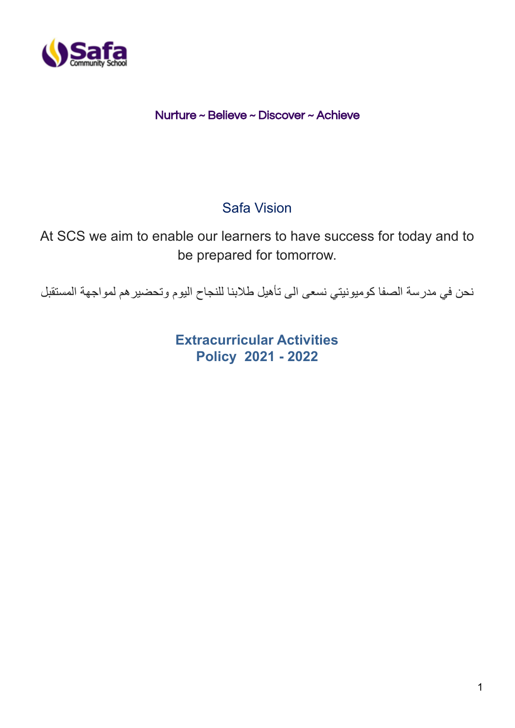

Nurture ~ Believe ~ Discover ~ Achieve

# Safa Vision

At SCS we aim to enable our learners to have success for today and to be prepared for tomorrow.

نحن في مدرسة الصفا كوميونيتي نسعى الى تأهيل طالبنا للنجاح اليوم وتحضيرهم لمواجهة المستقبل

**Extracurricular Activities Policy 2021 - 2022**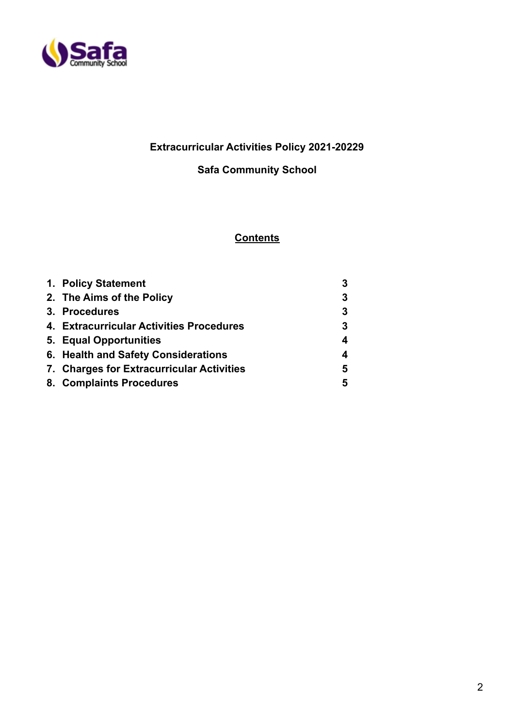

## **Extracurricular Activities Policy 2021-20229**

## **Safa Community School**

### **Contents**

| 1. Policy Statement                       | 3 |
|-------------------------------------------|---|
| 2. The Aims of the Policy                 | 3 |
| 3. Procedures                             | 3 |
| 4. Extracurricular Activities Procedures  | 3 |
| 5. Equal Opportunities                    | 4 |
| 6. Health and Safety Considerations       | 4 |
| 7. Charges for Extracurricular Activities | 5 |
| 8. Complaints Procedures                  | 5 |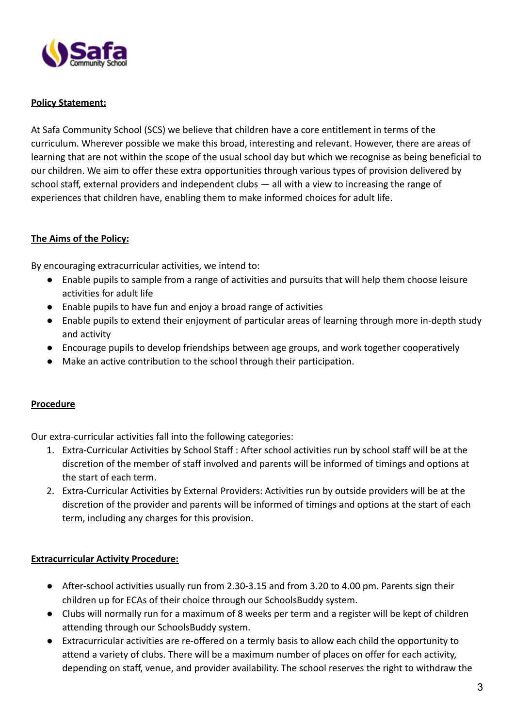

#### **Policy Statement:**

At Safa Community School (SCS) we believe that children have a core entitlement in terms of the curriculum. Wherever possible we make this broad, interesting and relevant. However, there are areas of learning that are not within the scope of the usual school day but which we recognise as being beneficial to our children. We aim to offer these extra opportunities through various types of provision delivered by school staff, external providers and independent clubs — all with a view to increasing the range of experiences that children have, enabling them to make informed choices for adult life.

#### **The Aims of the Policy:**

By encouraging extracurricular activities, we intend to:

- Enable pupils to sample from a range of activities and pursuits that will help them choose leisure activities for adult life
- Enable pupils to have fun and enjoy a broad range of activities
- Enable pupils to extend their enjoyment of particular areas of learning through more in-depth study and activity
- Encourage pupils to develop friendships between age groups, and work together cooperatively
- Make an active contribution to the school through their participation.

#### **Procedure**

Our extra-curricular activities fall into the following categories:

- 1. Extra-Curricular Activities by School Staff : After school activities run by school staff will be at the discretion of the member of staff involved and parents will be informed of timings and options at the start of each term.
- 2. Extra-Curricular Activities by External Providers: Activities run by outside providers will be at the discretion of the provider and parents will be informed of timings and options at the start of each term, including any charges for this provision.

#### **Extracurricular Activity Procedure:**

- After-school activities usually run from 2.30-3.15 and from 3.20 to 4.00 pm. Parents sign their children up for ECAs of their choice through our SchoolsBuddy system.
- Clubs will normally run for a maximum of 8 weeks per term and a register will be kept of children attending through our SchoolsBuddy system.
- Extracurricular activities are re-offered on a termly basis to allow each child the opportunity to attend a variety of clubs. There will be a maximum number of places on offer for each activity, depending on staff, venue, and provider availability. The school reserves the right to withdraw the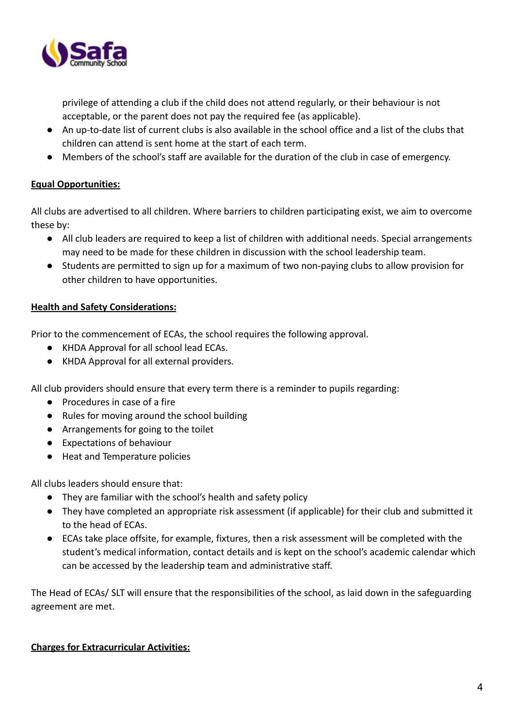

privilege of attending a club if the child does not attend regularly, or their behaviour is not acceptable, or the parent does not pay the required fee (as applicable).

- An up-to-date list of current clubs is also available in the school office and a list of the clubs that children can attend is sent home at the start of each term.
- Members of the school's staff are available for the duration of the club in case of emergency.

#### **Equal Opportunities:**

All clubs are advertised to all children. Where barriers to children participating exist, we aim to overcome these by:

- All club leaders are required to keep a list of children with additional needs. Special arrangements may need to be made for these children in discussion with the school leadership team.
- Students are permitted to sign up for a maximum of two non-paying clubs to allow provision for other children to have opportunities.

#### **Health and Safety Considerations:**

Prior to the commencement of ECAs, the school requires the following approval.

- KHDA Approval for all school lead ECAs.
- KHDA Approval for all external providers.

All club providers should ensure that every term there is a reminder to pupils regarding:

- Procedures in case of a fire
- Rules for moving around the school building
- Arrangements for going to the toilet
- Expectations of behaviour
- Heat and Temperature policies

All clubs leaders should ensure that:

- They are familiar with the school's health and safety policy
- They have completed an appropriate risk assessment (if applicable) for their club and submitted it to the head of ECAs.
- ECAs take place offsite, for example, fixtures, then a risk assessment will be completed with the student's medical information, contact details and is kept on the school's academic calendar which can be accessed by the leadership team and administrative staff.

The Head of ECAs/ SLT will ensure that the responsibilities of the school, as laid down in the safeguarding agreement are met.

#### **Charges for Extracurricular Activities:**